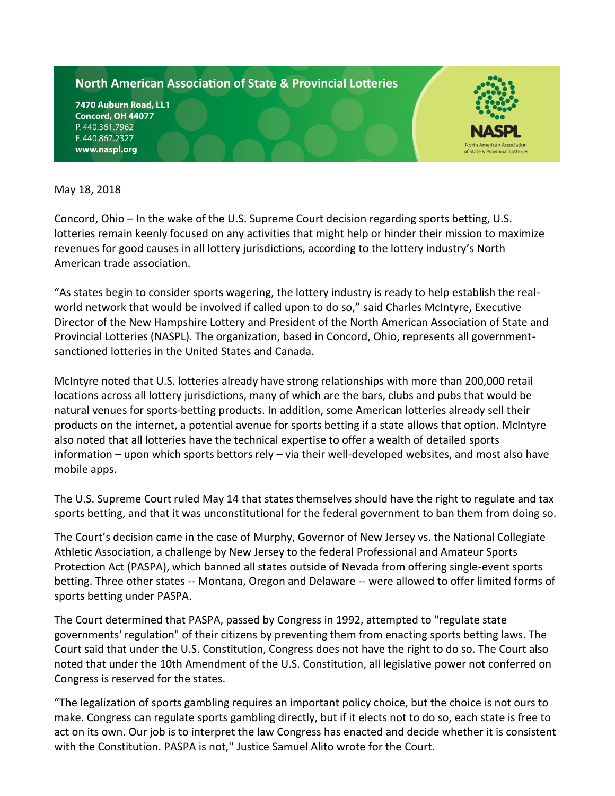## **North American Association of State & Provincial Lotteries**

7470 Auburn Road, LL1 **Concord, OH 44077** P. 440.361.7962 F. 440.867.2327 www.naspl.org



May 18, 2018

Concord, Ohio – In the wake of the U.S. Supreme Court decision regarding sports betting, U.S. lotteries remain keenly focused on any activities that might help or hinder their mission to maximize revenues for good causes in all lottery jurisdictions, according to the lottery industry's North American trade association.

"As states begin to consider sports wagering, the lottery industry is ready to help establish the realworld network that would be involved if called upon to do so," said Charles McIntyre, Executive Director of the New Hampshire Lottery and President of the North American Association of State and Provincial Lotteries (NASPL). The organization, based in Concord, Ohio, represents all governmentsanctioned lotteries in the United States and Canada.

McIntyre noted that U.S. lotteries already have strong relationships with more than 200,000 retail locations across all lottery jurisdictions, many of which are the bars, clubs and pubs that would be natural venues for sports-betting products. In addition, some American lotteries already sell their products on the internet, a potential avenue for sports betting if a state allows that option. McIntyre also noted that all lotteries have the technical expertise to offer a wealth of detailed sports information – upon which sports bettors rely – via their well-developed websites, and most also have mobile apps.

The U.S. Supreme Court ruled May 14 that states themselves should have the right to regulate and tax sports betting, and that it was unconstitutional for the federal government to ban them from doing so.

The Court's decision came in the case of Murphy, Governor of New Jersey vs. the National Collegiate Athletic Association, a challenge by New Jersey to the federal Professional and Amateur Sports Protection Act (PASPA), which banned all states outside of Nevada from offering single-event sports betting. Three other states -- Montana, Oregon and Delaware -- were allowed to offer limited forms of sports betting under PASPA.

The Court determined that PASPA, passed by Congress in 1992, attempted to "regulate state governments' regulation" of their citizens by preventing them from enacting sports betting laws. The Court said that under the U.S. Constitution, Congress does not have the right to do so. The Court also noted that under the 10th Amendment of the U.S. Constitution, all legislative power not conferred on Congress is reserved for the states.

"The legalization of sports gambling requires an important policy choice, but the choice is not ours to make. Congress can regulate sports gambling directly, but if it elects not to do so, each state is free to act on its own. Our job is to interpret the law Congress has enacted and decide whether it is consistent with the Constitution. PASPA is not,'' Justice Samuel Alito wrote for the Court.